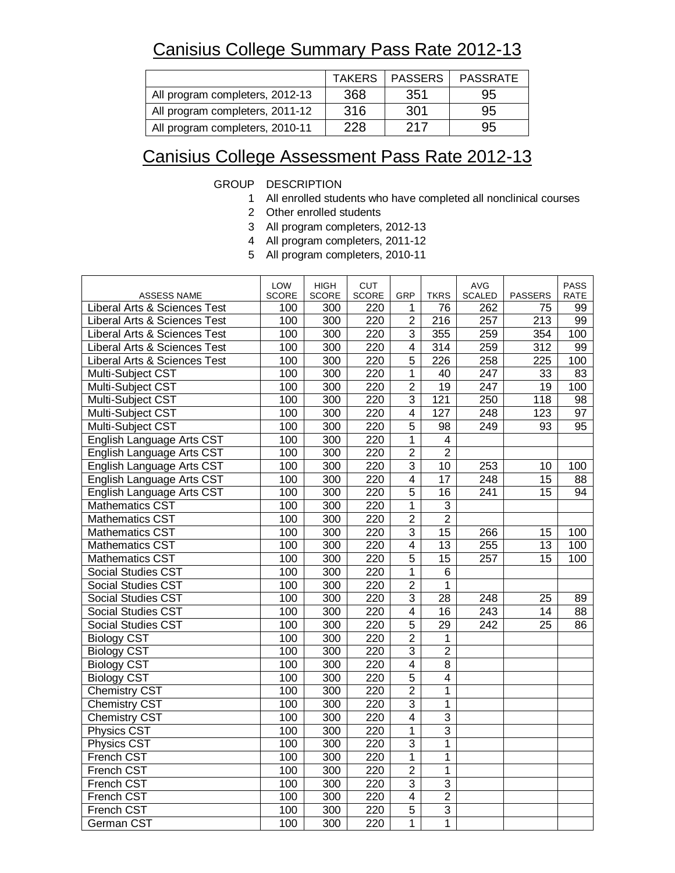## Canisius College Summary Pass Rate 2012-13

|                                 | <b>TAKERS</b> | <b>PASSERS</b> | <b>PASSRATE</b> |
|---------------------------------|---------------|----------------|-----------------|
| All program completers, 2012-13 | 368           | 351            | 95              |
| All program completers, 2011-12 | 316           | 301            | 95              |
| All program completers, 2010-11 | 228           | 217            | 95              |

## Canisius College Assessment Pass Rate 2012-13

GROUP DESCRIPTION

- 1 All enrolled students who have completed all nonclinical courses
- 2 Other enrolled students
- 3 All program completers, 2012-13
- 4 All program completers, 2011-12
- 5 All program completers, 2010-11

| ASSESS NAME                             | LOW<br><b>SCORE</b> | <b>HIGH</b><br><b>SCORE</b> | <b>CUT</b><br><b>SCORE</b> | GRP                     | <b>TKRS</b>     | <b>AVG</b><br><b>SCALED</b> | <b>PASSERS</b>   | <b>PASS</b><br><b>RATE</b> |
|-----------------------------------------|---------------------|-----------------------------|----------------------------|-------------------------|-----------------|-----------------------------|------------------|----------------------------|
| Liberal Arts & Sciences Test            | 100                 | 300                         | 220                        | 1                       | 76              | 262                         | 75               | 99                         |
| <b>Liberal Arts &amp; Sciences Test</b> | 100                 | 300                         | 220                        | $\overline{2}$          | 216             | 257                         | 213              | 99                         |
| Liberal Arts & Sciences Test            | 100                 | 300                         | 220                        | 3                       | 355             | 259                         | 354              | 100                        |
| Liberal Arts & Sciences Test            | 100                 | 300                         | 220                        | $\overline{4}$          | 314             | 259                         | 312              | 99                         |
| Liberal Arts & Sciences Test            | 100                 | 300                         | 220                        | 5                       | 226             | 258                         | 225              | 100                        |
| Multi-Subject CST                       | 100                 | 300                         | 220                        | $\mathbf{1}$            | 40              | 247                         | 33               | 83                         |
| Multi-Subject CST                       | 100                 | 300                         | 220                        | $\overline{2}$          | $\overline{19}$ | 247                         | $\overline{19}$  | 100                        |
| Multi-Subject CST                       | 100                 | 300                         | 220                        | $\overline{3}$          | 121             | $\overline{250}$            | $\overline{118}$ | $\overline{98}$            |
| Multi-Subject CST                       | 100                 | 300                         | 220                        | $\overline{\mathbf{4}}$ | 127             | 248                         | 123              | 97                         |
| Multi-Subject CST                       | 100                 | 300                         | 220                        | 5                       | 98              | 249                         | 93               | 95                         |
| English Language Arts CST               | 100                 | 300                         | 220                        | $\overline{1}$          | $\overline{4}$  |                             |                  |                            |
| English Language Arts CST               | 100                 | 300                         | 220                        | $\overline{2}$          | $\overline{2}$  |                             |                  |                            |
| English Language Arts CST               | 100                 | $\overline{300}$            | 220                        | $\overline{3}$          | 10              | 253                         | 10               | 100                        |
| English Language Arts CST               | 100                 | 300                         | 220                        | 4                       | 17              | 248                         | 15               | 88                         |
| English Language Arts CST               | 100                 | 300                         | 220                        | $\overline{5}$          | $\overline{16}$ | 241                         | 15               | 94                         |
| <b>Mathematics CST</b>                  | 100                 | 300                         | 220                        | $\mathbf{1}$            | $\overline{3}$  |                             |                  |                            |
| Mathematics CST                         | 100                 | 300                         | 220                        | $\overline{2}$          | $\overline{2}$  |                             |                  |                            |
| <b>Mathematics CST</b>                  | 100                 | 300                         | 220                        | 3                       | 15              | 266                         | 15               | 100                        |
| <b>Mathematics CST</b>                  | 100                 | 300                         | 220                        | $\overline{\mathbf{4}}$ | 13              | 255                         | 13               | 100                        |
| <b>Mathematics CST</b>                  | 100                 | 300                         | 220                        | $\overline{5}$          | $\overline{15}$ | $\overline{257}$            | $\overline{15}$  | 100                        |
| <b>Social Studies CST</b>               | 100                 | 300                         | 220                        | $\overline{1}$          | $\overline{6}$  |                             |                  |                            |
| <b>Social Studies CST</b>               | 100                 | 300                         | 220                        | $\overline{2}$          | $\mathbf 1$     |                             |                  |                            |
| Social Studies CST                      | 100                 | 300                         | 220                        | 3                       | 28              | 248                         | 25               | 89                         |
| <b>Social Studies CST</b>               | 100                 | 300                         | 220                        | $\overline{4}$          | 16              | 243                         | 14               | 88                         |
| Social Studies CST                      | 100                 | 300                         | 220                        | 5                       | $\overline{29}$ | $\overline{242}$            | 25               | $\overline{86}$            |
| <b>Biology CST</b>                      | 100                 | 300                         | 220                        | $\overline{2}$          | 1               |                             |                  |                            |
| <b>Biology CST</b>                      | 100                 | 300                         | 220                        | $\overline{3}$          | $\overline{2}$  |                             |                  |                            |
| <b>Biology CST</b>                      | 100                 | 300                         | 220                        | $\overline{4}$          | 8               |                             |                  |                            |
| <b>Biology CST</b>                      | 100                 | 300                         | 220                        | $\overline{5}$          | $\overline{4}$  |                             |                  |                            |
| <b>Chemistry CST</b>                    | 100                 | 300                         | 220                        | $\overline{2}$          | 1               |                             |                  |                            |
| <b>Chemistry CST</b>                    | 100                 | $\overline{300}$            | $\overline{220}$           | $\overline{3}$          | $\mathbf{1}$    |                             |                  |                            |
| <b>Chemistry CST</b>                    | 100                 | 300                         | 220                        | 4                       | $\overline{3}$  |                             |                  |                            |
| Physics CST                             | 100                 | 300                         | 220                        | $\mathbf{1}$            | $\overline{3}$  |                             |                  |                            |
| <b>Physics CST</b>                      | 100                 | 300                         | 220                        | $\overline{3}$          | 1               |                             |                  |                            |
| <b>French CST</b>                       | 100                 | 300                         | 220                        | $\overline{1}$          | 1               |                             |                  |                            |
| French CST                              | 100                 | 300                         | 220                        | $\overline{2}$          | 1               |                             |                  |                            |
| French CST                              | 100                 | 300                         | 220                        | 3                       | $\overline{3}$  |                             |                  |                            |
| French CST                              | 100                 | 300                         | 220                        | $\overline{4}$          | $\overline{2}$  |                             |                  |                            |
| <b>French CST</b>                       | 100                 | 300                         | 220                        | $\overline{5}$          | $\overline{3}$  |                             |                  |                            |
| German CST                              | 100                 | 300                         | 220                        | 1                       | 1               |                             |                  |                            |